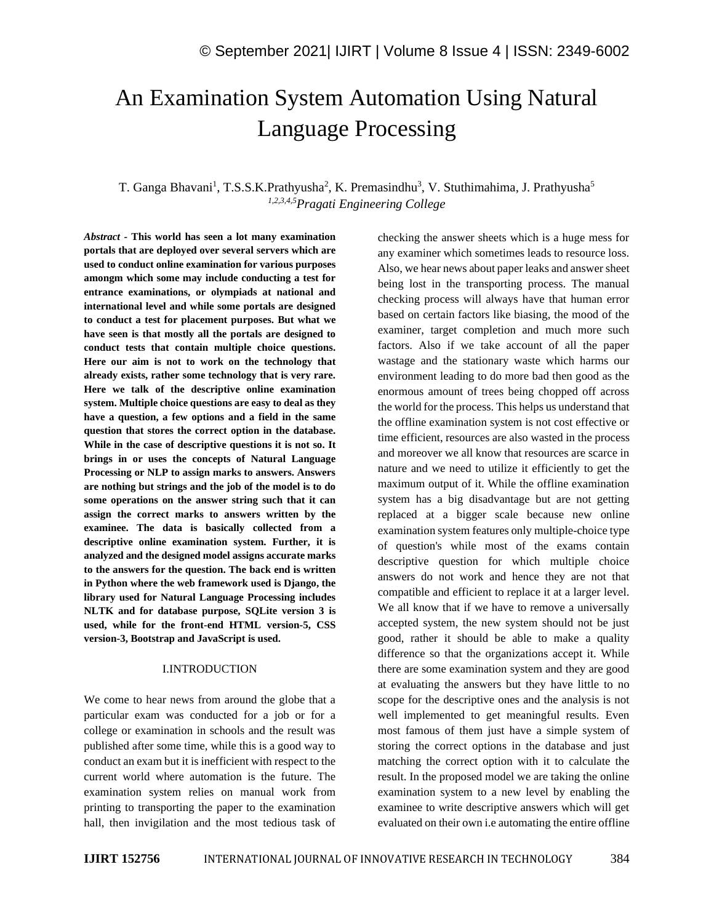# An Examination System Automation Using Natural Language Processing

# T. Ganga Bhavani<sup>1</sup>, T.S.S.K.Prathyusha<sup>2</sup>, K. Premasindhu<sup>3</sup>, V. Stuthimahima, J. Prathyusha<sup>5</sup> *1,2,3,4,5Pragati Engineering College*

*Abstract -* **This world has seen a lot many examination portals that are deployed over several servers which are used to conduct online examination for various purposes amongm which some may include conducting a test for entrance examinations, or olympiads at national and international level and while some portals are designed to conduct a test for placement purposes. But what we have seen is that mostly all the portals are designed to conduct tests that contain multiple choice questions. Here our aim is not to work on the technology that already exists, rather some technology that is very rare. Here we talk of the descriptive online examination system. Multiple choice questions are easy to deal as they have a question, a few options and a field in the same question that stores the correct option in the database. While in the case of descriptive questions it is not so. It brings in or uses the concepts of Natural Language Processing or NLP to assign marks to answers. Answers are nothing but strings and the job of the model is to do some operations on the answer string such that it can assign the correct marks to answers written by the examinee. The data is basically collected from a descriptive online examination system. Further, it is analyzed and the designed model assigns accurate marks to the answers for the question. The back end is written in Python where the web framework used is Django, the library used for Natural Language Processing includes NLTK and for database purpose, SQLite version 3 is used, while for the front-end HTML version-5, CSS version-3, Bootstrap and JavaScript is used.**

#### I.INTRODUCTION

We come to hear news from around the globe that a particular exam was conducted for a job or for a college or examination in schools and the result was published after some time, while this is a good way to conduct an exam but it is inefficient with respect to the current world where automation is the future. The examination system relies on manual work from printing to transporting the paper to the examination hall, then invigilation and the most tedious task of checking the answer sheets which is a huge mess for any examiner which sometimes leads to resource loss. Also, we hear news about paper leaks and answer sheet being lost in the transporting process. The manual checking process will always have that human error based on certain factors like biasing, the mood of the examiner, target completion and much more such factors. Also if we take account of all the paper wastage and the stationary waste which harms our environment leading to do more bad then good as the enormous amount of trees being chopped off across the world for the process. This helps us understand that the offline examination system is not cost effective or time efficient, resources are also wasted in the process and moreover we all know that resources are scarce in nature and we need to utilize it efficiently to get the maximum output of it. While the offline examination system has a big disadvantage but are not getting replaced at a bigger scale because new online examination system features only multiple-choice type of question's while most of the exams contain descriptive question for which multiple choice answers do not work and hence they are not that compatible and efficient to replace it at a larger level. We all know that if we have to remove a universally accepted system, the new system should not be just good, rather it should be able to make a quality difference so that the organizations accept it. While there are some examination system and they are good at evaluating the answers but they have little to no scope for the descriptive ones and the analysis is not well implemented to get meaningful results. Even most famous of them just have a simple system of storing the correct options in the database and just matching the correct option with it to calculate the result. In the proposed model we are taking the online examination system to a new level by enabling the examinee to write descriptive answers which will get evaluated on their own i.e automating the entire offline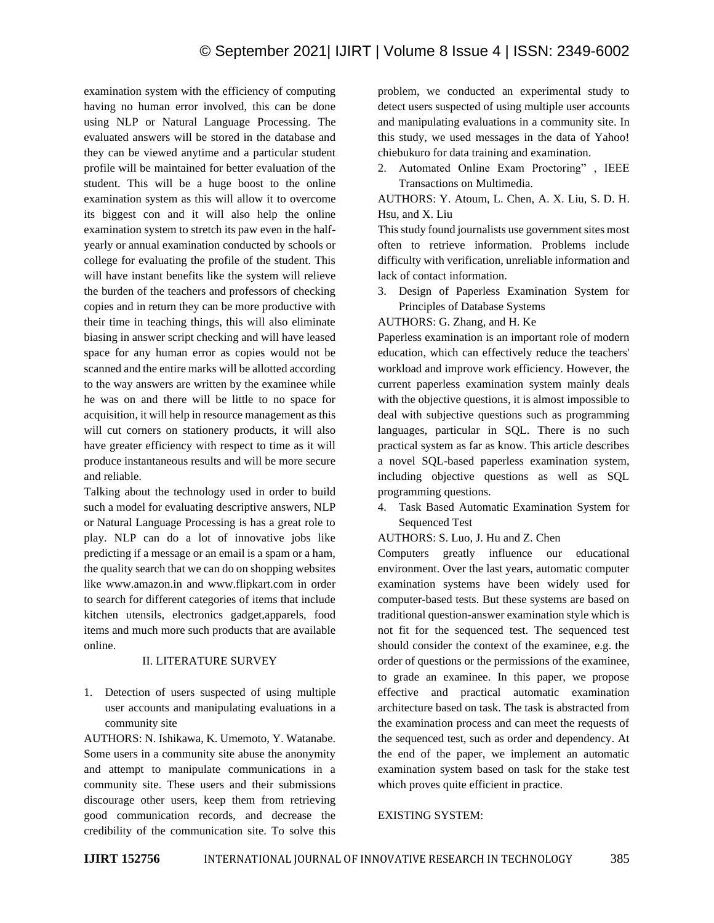examination system with the efficiency of computing having no human error involved, this can be done using NLP or Natural Language Processing. The evaluated answers will be stored in the database and they can be viewed anytime and a particular student profile will be maintained for better evaluation of the student. This will be a huge boost to the online examination system as this will allow it to overcome its biggest con and it will also help the online examination system to stretch its paw even in the halfyearly or annual examination conducted by schools or college for evaluating the profile of the student. This will have instant benefits like the system will relieve the burden of the teachers and professors of checking copies and in return they can be more productive with their time in teaching things, this will also eliminate biasing in answer script checking and will have leased space for any human error as copies would not be scanned and the entire marks will be allotted according to the way answers are written by the examinee while he was on and there will be little to no space for acquisition, it will help in resource management as this will cut corners on stationery products, it will also have greater efficiency with respect to time as it will produce instantaneous results and will be more secure and reliable.

Talking about the technology used in order to build such a model for evaluating descriptive answers, NLP or Natural Language Processing is has a great role to play. NLP can do a lot of innovative jobs like predicting if a message or an email is a spam or a ham, the quality search that we can do on shopping websites like www.amazon.in and www.flipkart.com in order to search for different categories of items that include kitchen utensils, electronics gadget,apparels, food items and much more such products that are available online.

### II. LITERATURE SURVEY

1. Detection of users suspected of using multiple user accounts and manipulating evaluations in a community site

AUTHORS: N. Ishikawa, K. Umemoto, Y. Watanabe. Some users in a community site abuse the anonymity and attempt to manipulate communications in a community site. These users and their submissions discourage other users, keep them from retrieving good communication records, and decrease the credibility of the communication site. To solve this problem, we conducted an experimental study to detect users suspected of using multiple user accounts and manipulating evaluations in a community site. In this study, we used messages in the data of Yahoo! chiebukuro for data training and examination.

2. Automated Online Exam Proctoring" , IEEE Transactions on Multimedia.

AUTHORS: Y. Atoum, L. Chen, A. X. Liu, S. D. H. Hsu, and X. Liu

This study found journalists use government sites most often to retrieve information. Problems include difficulty with verification, unreliable information and lack of contact information.

3. Design of Paperless Examination System for Principles of Database Systems

AUTHORS: G. Zhang, and H. Ke

Paperless examination is an important role of modern education, which can effectively reduce the teachers' workload and improve work efficiency. However, the current paperless examination system mainly deals with the objective questions, it is almost impossible to deal with subjective questions such as programming languages, particular in SQL. There is no such practical system as far as know. This article describes a novel SQL-based paperless examination system, including objective questions as well as SQL programming questions.

- 4. Task Based Automatic Examination System for Sequenced Test
- AUTHORS: S. Luo, J. Hu and Z. Chen

Computers greatly influence our educational environment. Over the last years, automatic computer examination systems have been widely used for computer-based tests. But these systems are based on traditional question-answer examination style which is not fit for the sequenced test. The sequenced test should consider the context of the examinee, e.g. the order of questions or the permissions of the examinee, to grade an examinee. In this paper, we propose effective and practical automatic examination architecture based on task. The task is abstracted from the examination process and can meet the requests of the sequenced test, such as order and dependency. At the end of the paper, we implement an automatic examination system based on task for the stake test which proves quite efficient in practice.

#### EXISTING SYSTEM: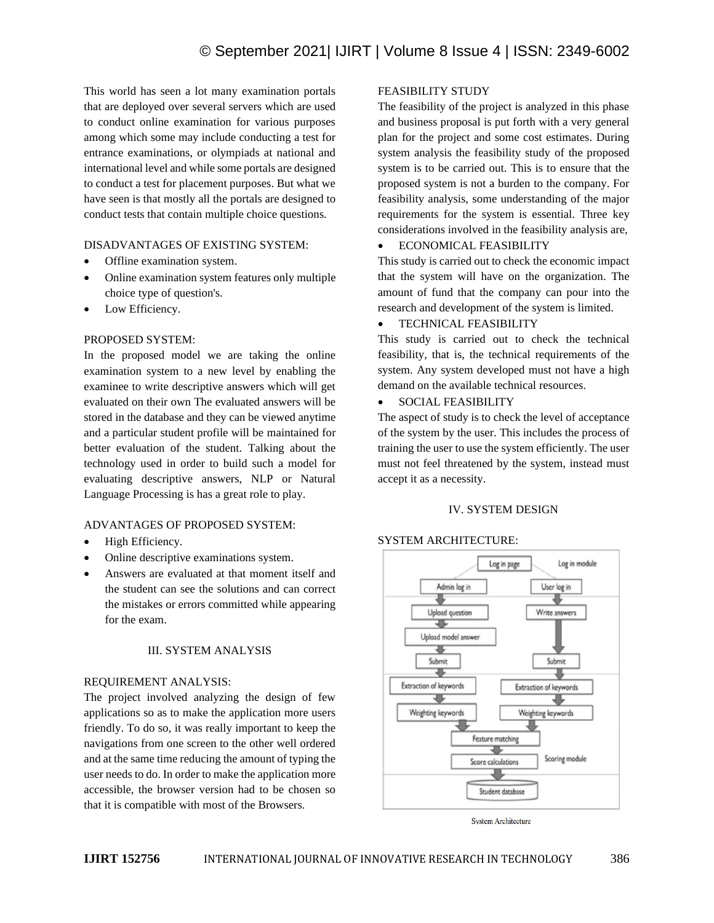This world has seen a lot many examination portals that are deployed over several servers which are used to conduct online examination for various purposes among which some may include conducting a test for entrance examinations, or olympiads at national and international level and while some portals are designed to conduct a test for placement purposes. But what we have seen is that mostly all the portals are designed to conduct tests that contain multiple choice questions.

# DISADVANTAGES OF EXISTING SYSTEM:

- Offline examination system.
- Online examination system features only multiple choice type of question's.
- Low Efficiency.

# PROPOSED SYSTEM:

In the proposed model we are taking the online examination system to a new level by enabling the examinee to write descriptive answers which will get evaluated on their own The evaluated answers will be stored in the database and they can be viewed anytime and a particular student profile will be maintained for better evaluation of the student. Talking about the technology used in order to build such a model for evaluating descriptive answers, NLP or Natural Language Processing is has a great role to play.

#### ADVANTAGES OF PROPOSED SYSTEM:

- High Efficiency.
- Online descriptive examinations system.
- Answers are evaluated at that moment itself and the student can see the solutions and can correct the mistakes or errors committed while appearing for the exam.

#### III. SYSTEM ANALYSIS

#### REQUIREMENT ANALYSIS:

The project involved analyzing the design of few applications so as to make the application more users friendly. To do so, it was really important to keep the navigations from one screen to the other well ordered and at the same time reducing the amount of typing the user needs to do. In order to make the application more accessible, the browser version had to be chosen so that it is compatible with most of the Browsers.

## FEASIBILITY STUDY

The feasibility of the project is analyzed in this phase and business proposal is put forth with a very general plan for the project and some cost estimates. During system analysis the feasibility study of the proposed system is to be carried out. This is to ensure that the proposed system is not a burden to the company. For feasibility analysis, some understanding of the major requirements for the system is essential. Three key considerations involved in the feasibility analysis are,

#### • ECONOMICAL FEASIBILITY

This study is carried out to check the economic impact that the system will have on the organization. The amount of fund that the company can pour into the research and development of the system is limited.

#### • TECHNICAL FEASIBILITY

This study is carried out to check the technical feasibility, that is, the technical requirements of the system. Any system developed must not have a high demand on the available technical resources.

# • SOCIAL FEASIBILITY

The aspect of study is to check the level of acceptance of the system by the user. This includes the process of training the user to use the system efficiently. The user must not feel threatened by the system, instead must accept it as a necessity.

# IV. SYSTEM DESIGN

# SYSTEM ARCHITECTURE:



**System Architecture**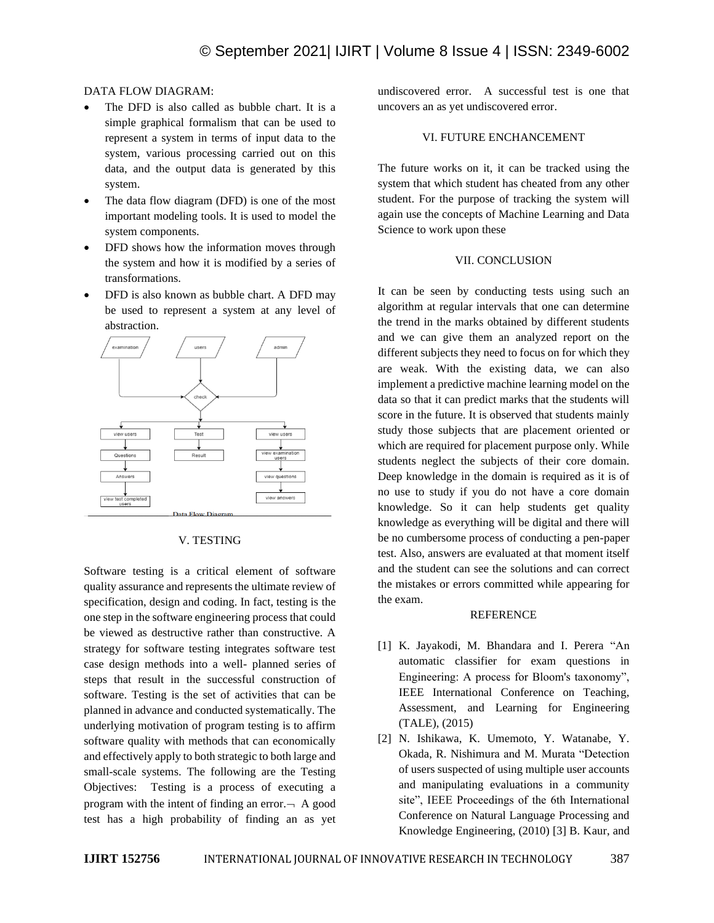# DATA FLOW DIAGRAM:

- The DFD is also called as bubble chart. It is a simple graphical formalism that can be used to represent a system in terms of input data to the system, various processing carried out on this data, and the output data is generated by this system.
- The data flow diagram (DFD) is one of the most important modeling tools. It is used to model the system components.
- DFD shows how the information moves through the system and how it is modified by a series of transformations.
- DFD is also known as bubble chart. A DFD may be used to represent a system at any level of abstraction.



#### V. TESTING

Software testing is a critical element of software quality assurance and represents the ultimate review of specification, design and coding. In fact, testing is the one step in the software engineering process that could be viewed as destructive rather than constructive. A strategy for software testing integrates software test case design methods into a well- planned series of steps that result in the successful construction of software. Testing is the set of activities that can be planned in advance and conducted systematically. The underlying motivation of program testing is to affirm software quality with methods that can economically and effectively apply to both strategic to both large and small-scale systems. The following are the Testing Objectives: Testing is a process of executing a program with the intent of finding an error. $\neg$  A good test has a high probability of finding an as yet undiscovered error. A successful test is one that uncovers an as yet undiscovered error.

#### VI. FUTURE ENCHANCEMENT

The future works on it, it can be tracked using the system that which student has cheated from any other student. For the purpose of tracking the system will again use the concepts of Machine Learning and Data Science to work upon these

## VII. CONCLUSION

It can be seen by conducting tests using such an algorithm at regular intervals that one can determine the trend in the marks obtained by different students and we can give them an analyzed report on the different subjects they need to focus on for which they are weak. With the existing data, we can also implement a predictive machine learning model on the data so that it can predict marks that the students will score in the future. It is observed that students mainly study those subjects that are placement oriented or which are required for placement purpose only. While students neglect the subjects of their core domain. Deep knowledge in the domain is required as it is of no use to study if you do not have a core domain knowledge. So it can help students get quality knowledge as everything will be digital and there will be no cumbersome process of conducting a pen-paper test. Also, answers are evaluated at that moment itself and the student can see the solutions and can correct the mistakes or errors committed while appearing for the exam.

#### REFERENCE

- [1] K. Jayakodi, M. Bhandara and I. Perera "An automatic classifier for exam questions in Engineering: A process for Bloom's taxonomy", IEEE International Conference on Teaching, Assessment, and Learning for Engineering (TALE), (2015)
- [2] N. Ishikawa, K. Umemoto, Y. Watanabe, Y. Okada, R. Nishimura and M. Murata "Detection of users suspected of using multiple user accounts and manipulating evaluations in a community site", IEEE Proceedings of the 6th International Conference on Natural Language Processing and Knowledge Engineering, (2010) [3] B. Kaur, and